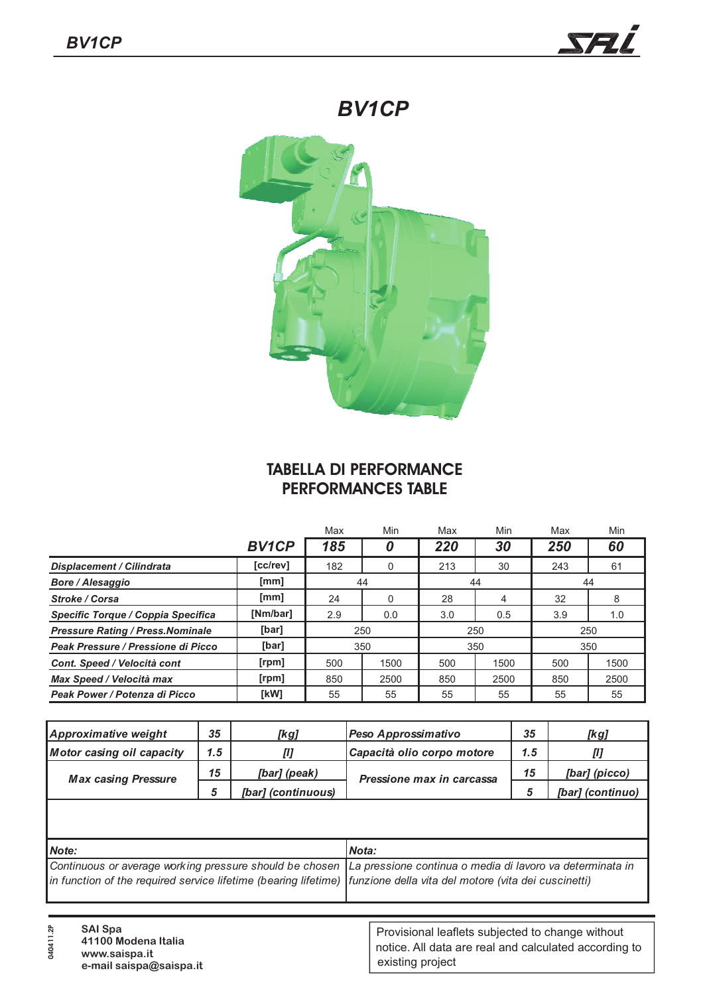



## **TABELLA DI PERFORMANCE PERFORMANCES TABLE**

|                                          |              | Max      | Min          | Max | Min           | Max | Min  |
|------------------------------------------|--------------|----------|--------------|-----|---------------|-----|------|
|                                          | <b>BV1CP</b> | 185      |              | 220 | 30            | 250 | 60   |
| <b>Displacement / Cilindrata</b>         | [cc/rev]     | 182      |              | 213 | 30            | 243 | 61   |
| <b>Bore / Alesaggio</b>                  | [mm]         | 44<br>44 |              | 44  |               |     |      |
| <b>Stroke / Corsa</b>                    | [mm]         | 24       | <sup>0</sup> | 28  | 4             | 32  | 8    |
| Specific Torque / Coppia Specifica       | [Nm/bar]     | 2.9      | 0.0          | 3.0 | $0.5^{\circ}$ | 3.9 | 1.0  |
| <b>Pressure Rating / Press. Nominale</b> | [bar]        | 250      |              | 250 |               | 250 |      |
| Peak Pressure / Pressione di Picco       | [bar]        | 350      |              | 350 |               | 350 |      |
| Cont. Speed / Velocità cont              | [rpm]        | 500      | 1500         | 500 | 1500          | 500 | 1500 |
| Max Speed / Velocità max                 | [rpm]        | 850      | 2500         | 850 | 2500          | 850 | 2500 |
| Peak Power / Potenza di Picco            | [kW]         | 55       | 55           | 55  | 55            | 55  | 55   |

| Approximative weight             | 35                                | [kg]               | Peso Approssimativo       |    | [kg]             |
|----------------------------------|-----------------------------------|--------------------|---------------------------|----|------------------|
| <b>Motor casing oil capacity</b> | Capacità olio corpo motore<br>1.5 |                    | 1.5                       |    |                  |
| <b>Max casing Pressure</b>       | 15                                | [bar] (peak)       | Pressione max in carcassa | 15 | [bar] (picco)    |
|                                  | 5                                 | [bar] (continuous) |                           |    | [bar] (continuo) |
|                                  |                                   |                    |                           |    |                  |
|                                  |                                   |                    |                           |    |                  |

| Mote:                                                                                                                | Mota: |
|----------------------------------------------------------------------------------------------------------------------|-------|
| Continuous or average working pressure should be chosen La pressione continua o media di lavoro va determinata in    |       |
| in function of the required service lifetime (bearing lifetime) funzione della vita del motore (vita dei cuscinetti) |       |

| ᡷ<br><b>SAI Spa</b><br>-<br>41100 Modena Italia<br>0<br>www.saispa.it<br>e-mail saispa@saispa.it | Provisional leaflets subjected to change without<br>notice. All data are real and calculated according to<br>existing project |
|--------------------------------------------------------------------------------------------------|-------------------------------------------------------------------------------------------------------------------------------|
|--------------------------------------------------------------------------------------------------|-------------------------------------------------------------------------------------------------------------------------------|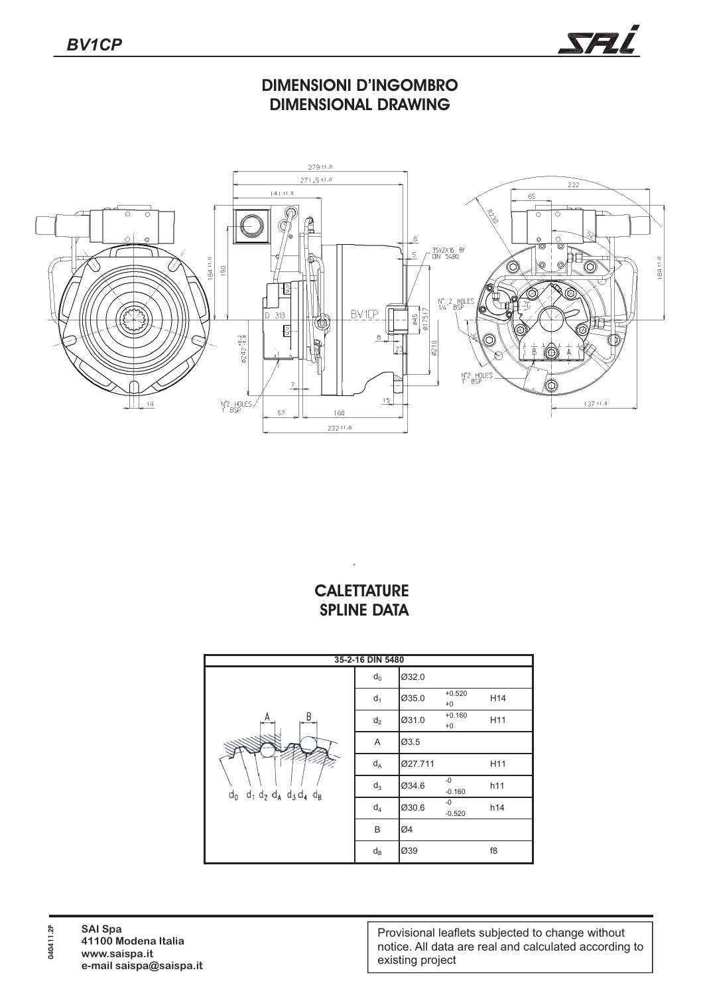

## **DIMENSIONI D'INGOMBRO DIMENSIONAL DRAWING**



## **CALETTATURE SPLINE DATA**

.